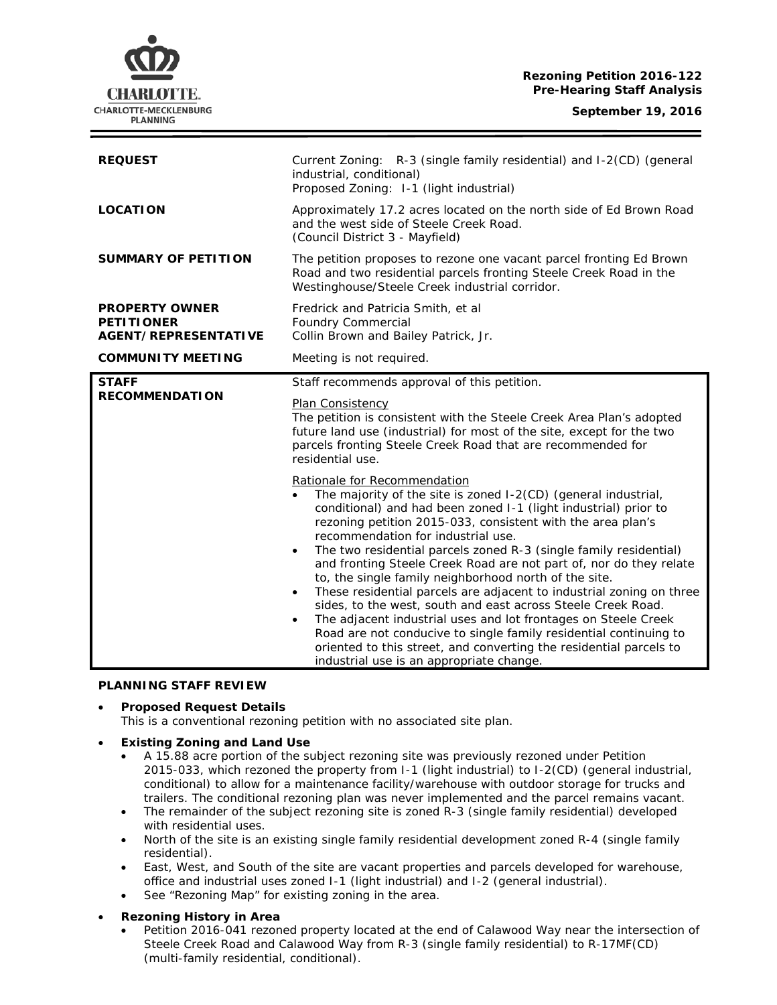# **Rezoning Petition 2016-122 Pre-Hearing Staff Analysis**



| <b>REQUEST</b>                                                            | Current Zoning: R-3 (single family residential) and I-2(CD) (general<br>industrial, conditional)<br>Proposed Zoning: I-1 (light industrial)                                                                                                                                                                                                                                                                                                                                                                                                                                                                                                                                                                                                                                                                                                                                                                                     |
|---------------------------------------------------------------------------|---------------------------------------------------------------------------------------------------------------------------------------------------------------------------------------------------------------------------------------------------------------------------------------------------------------------------------------------------------------------------------------------------------------------------------------------------------------------------------------------------------------------------------------------------------------------------------------------------------------------------------------------------------------------------------------------------------------------------------------------------------------------------------------------------------------------------------------------------------------------------------------------------------------------------------|
| <b>LOCATION</b>                                                           | Approximately 17.2 acres located on the north side of Ed Brown Road<br>and the west side of Steele Creek Road.<br>(Council District 3 - Mayfield)                                                                                                                                                                                                                                                                                                                                                                                                                                                                                                                                                                                                                                                                                                                                                                               |
| <b>SUMMARY OF PETITION</b>                                                | The petition proposes to rezone one vacant parcel fronting Ed Brown<br>Road and two residential parcels fronting Steele Creek Road in the<br>Westinghouse/Steele Creek industrial corridor.                                                                                                                                                                                                                                                                                                                                                                                                                                                                                                                                                                                                                                                                                                                                     |
| <b>PROPERTY OWNER</b><br><b>PETITIONER</b><br><b>AGENT/REPRESENTATIVE</b> | Fredrick and Patricia Smith, et al<br><b>Foundry Commercial</b><br>Collin Brown and Bailey Patrick, Jr.                                                                                                                                                                                                                                                                                                                                                                                                                                                                                                                                                                                                                                                                                                                                                                                                                         |
| <b>COMMUNITY MEETING</b>                                                  | Meeting is not required.                                                                                                                                                                                                                                                                                                                                                                                                                                                                                                                                                                                                                                                                                                                                                                                                                                                                                                        |
| <b>STAFF</b><br><b>RECOMMENDATION</b>                                     | Staff recommends approval of this petition.<br><b>Plan Consistency</b><br>The petition is consistent with the Steele Creek Area Plan's adopted<br>future land use (industrial) for most of the site, except for the two<br>parcels fronting Steele Creek Road that are recommended for<br>residential use.                                                                                                                                                                                                                                                                                                                                                                                                                                                                                                                                                                                                                      |
|                                                                           | Rationale for Recommendation<br>The majority of the site is zoned I-2(CD) (general industrial,<br>$\bullet$<br>conditional) and had been zoned I-1 (light industrial) prior to<br>rezoning petition 2015-033, consistent with the area plan's<br>recommendation for industrial use.<br>The two residential parcels zoned R-3 (single family residential)<br>$\bullet$<br>and fronting Steele Creek Road are not part of, nor do they relate<br>to, the single family neighborhood north of the site.<br>These residential parcels are adjacent to industrial zoning on three<br>$\bullet$<br>sides, to the west, south and east across Steele Creek Road.<br>The adjacent industrial uses and lot frontages on Steele Creek<br>$\bullet$<br>Road are not conducive to single family residential continuing to<br>oriented to this street, and converting the residential parcels to<br>industrial use is an appropriate change. |

### **PLANNING STAFF REVIEW**

### • **Proposed Request Details**

This is a conventional rezoning petition with no associated site plan.

### • **Existing Zoning and Land Use**

- A 15.88 acre portion of the subject rezoning site was previously rezoned under Petition 2015-033, which rezoned the property from I-1 (light industrial) to I-2(CD) (general industrial, conditional) to allow for a maintenance facility/warehouse with outdoor storage for trucks and trailers. The conditional rezoning plan was never implemented and the parcel remains vacant.
- The remainder of the subject rezoning site is zoned R-3 (single family residential) developed with residential uses.
- North of the site is an existing single family residential development zoned R-4 (single family residential).
- East, West, and South of the site are vacant properties and parcels developed for warehouse, office and industrial uses zoned I-1 (light industrial) and I-2 (general industrial).
- See "Rezoning Map" for existing zoning in the area.
- **Rezoning History in Area**
	- Petition 2016-041 rezoned property located at the end of Calawood Way near the intersection of Steele Creek Road and Calawood Way from R-3 (single family residential) to R-17MF(CD) (multi-family residential, conditional).